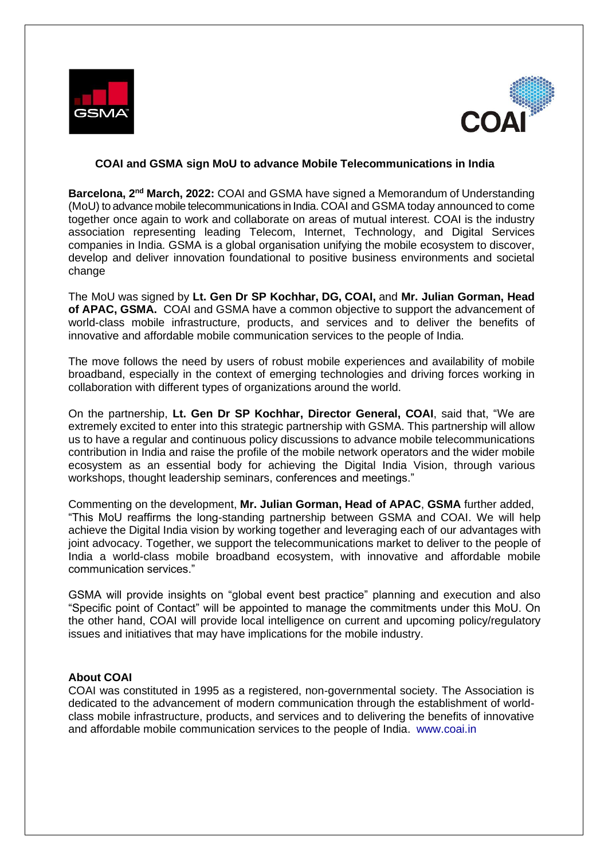



## **COAI and GSMA sign MoU to advance Mobile Telecommunications in India**

**Barcelona, 2nd March, 2022:** COAI and GSMA have signed a Memorandum of Understanding (MoU) to advance mobile telecommunications in India. COAI and GSMA today announced to come together once again to work and collaborate on areas of mutual interest. COAI is the industry association representing leading Telecom, Internet, Technology, and Digital Services companies in India. GSMA is a global organisation unifying the mobile ecosystem to discover, develop and deliver innovation foundational to positive business environments and societal change

The MoU was signed by **Lt. Gen Dr SP Kochhar, DG, COAI,** and **Mr. Julian Gorman, Head of APAC, GSMA.** COAI and GSMA have a common objective to support the advancement of world-class mobile infrastructure, products, and services and to deliver the benefits of innovative and affordable mobile communication services to the people of India.

The move follows the need by users of robust mobile experiences and availability of mobile broadband, especially in the context of emerging technologies and driving forces working in collaboration with different types of organizations around the world.

On the partnership, **Lt. Gen Dr SP Kochhar, Director General, COAI**, said that, "We are extremely excited to enter into this strategic partnership with GSMA. This partnership will allow us to have a regular and continuous policy discussions to advance mobile telecommunications contribution in India and raise the profile of the mobile network operators and the wider mobile ecosystem as an essential body for achieving the Digital India Vision, through various workshops, thought leadership seminars, conferences and meetings."

Commenting on the development, **Mr. Julian Gorman, Head of APAC**, **GSMA** further added, "This MoU reaffirms the long-standing partnership between GSMA and COAI. We will help achieve the Digital India vision by working together and leveraging each of our advantages with joint advocacy. Together, we support the telecommunications market to deliver to the people of India a world-class mobile broadband ecosystem, with innovative and affordable mobile communication services."

GSMA will provide insights on "global event best practice" planning and execution and also "Specific point of Contact" will be appointed to manage the commitments under this MoU. On the other hand, COAI will provide local intelligence on current and upcoming policy/regulatory issues and initiatives that may have implications for the mobile industry.

## **About COAI**

COAI was constituted in 1995 as a registered, non-governmental society. The Association is dedicated to the advancement of modern communication through the establishment of worldclass mobile infrastructure, products, and services and to delivering the benefits of innovative and affordable mobile communication services to the people of India. [www.coai.in](http://www.coai.in/)